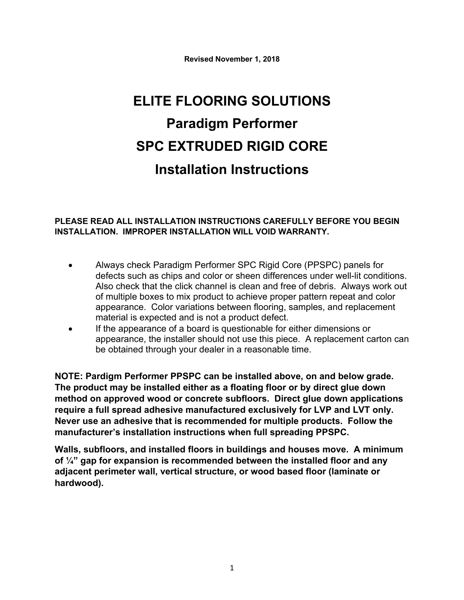**Revised November 1, 2018**

# **ELITE FLOORING SOLUTIONS Paradigm Performer SPC EXTRUDED RIGID CORE Installation Instructions**

#### **PLEASE READ ALL INSTALLATION INSTRUCTIONS CAREFULLY BEFORE YOU BEGIN INSTALLATION. IMPROPER INSTALLATION WILL VOID WARRANTY.**

- Always check Paradigm Performer SPC Rigid Core (PPSPC) panels for defects such as chips and color or sheen differences under well-lit conditions. Also check that the click channel is clean and free of debris. Always work out of multiple boxes to mix product to achieve proper pattern repeat and color appearance. Color variations between flooring, samples, and replacement material is expected and is not a product defect.
- If the appearance of a board is questionable for either dimensions or appearance, the installer should not use this piece. A replacement carton can be obtained through your dealer in a reasonable time.

**NOTE: Pardigm Performer PPSPC can be installed above, on and below grade. The product may be installed either as a floating floor or by direct glue down method on approved wood or concrete subfloors. Direct glue down applications require a full spread adhesive manufactured exclusively for LVP and LVT only. Never use an adhesive that is recommended for multiple products. Follow the manufacturer's installation instructions when full spreading PPSPC.**

**Walls, subfloors, and installed floors in buildings and houses move. A minimum of ¼" gap for expansion is recommended between the installed floor and any adjacent perimeter wall, vertical structure, or wood based floor (laminate or hardwood).**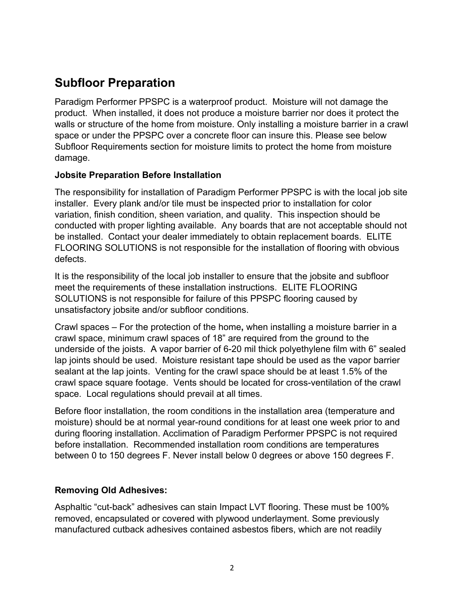# **Subfloor Preparation**

Paradigm Performer PPSPC is a waterproof product. Moisture will not damage the product. When installed, it does not produce a moisture barrier nor does it protect the walls or structure of the home from moisture. Only installing a moisture barrier in a crawl space or under the PPSPC over a concrete floor can insure this. Please see below Subfloor Requirements section for moisture limits to protect the home from moisture damage.

#### **Jobsite Preparation Before Installation**

The responsibility for installation of Paradigm Performer PPSPC is with the local job site installer. Every plank and/or tile must be inspected prior to installation for color variation, finish condition, sheen variation, and quality. This inspection should be conducted with proper lighting available. Any boards that are not acceptable should not be installed. Contact your dealer immediately to obtain replacement boards. ELITE FLOORING SOLUTIONS is not responsible for the installation of flooring with obvious defects.

It is the responsibility of the local job installer to ensure that the jobsite and subfloor meet the requirements of these installation instructions. ELITE FLOORING SOLUTIONS is not responsible for failure of this PPSPC flooring caused by unsatisfactory jobsite and/or subfloor conditions.

Crawl spaces – For the protection of the home**,** when installing a moisture barrier in a crawl space, minimum crawl spaces of 18" are required from the ground to the underside of the joists. A vapor barrier of 6-20 mil thick polyethylene film with 6" sealed lap joints should be used. Moisture resistant tape should be used as the vapor barrier sealant at the lap joints. Venting for the crawl space should be at least 1.5% of the crawl space square footage. Vents should be located for cross-ventilation of the crawl space. Local regulations should prevail at all times.

Before floor installation, the room conditions in the installation area (temperature and moisture) should be at normal year-round conditions for at least one week prior to and during flooring installation. Acclimation of Paradigm Performer PPSPC is not required before installation.Recommended installation room conditions are temperatures between 0 to 150 degrees F. Never install below 0 degrees or above 150 degrees F.

### **Removing Old Adhesives:**

Asphaltic "cut-back" adhesives can stain Impact LVT flooring. These must be 100% removed, encapsulated or covered with plywood underlayment. Some previously manufactured cutback adhesives contained asbestos fibers, which are not readily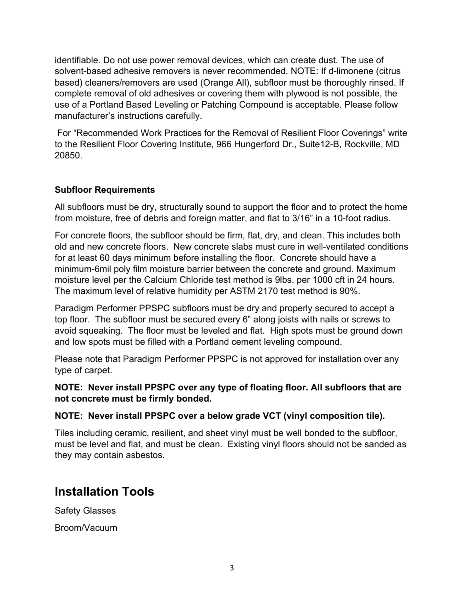identifiable. Do not use power removal devices, which can create dust. The use of solvent-based adhesive removers is never recommended. NOTE: If d-limonene (citrus based) cleaners/removers are used (Orange All), subfloor must be thoroughly rinsed. If complete removal of old adhesives or covering them with plywood is not possible, the use of a Portland Based Leveling or Patching Compound is acceptable. Please follow manufacturer's instructions carefully.

For "Recommended Work Practices for the Removal of Resilient Floor Coverings" write to the Resilient Floor Covering Institute, 966 Hungerford Dr., Suite12-B, Rockville, MD 20850.

### **Subfloor Requirements**

All subfloors must be dry, structurally sound to support the floor and to protect the home from moisture, free of debris and foreign matter, and flat to 3/16" in a 10-foot radius.

For concrete floors, the subfloor should be firm, flat, dry, and clean. This includes both old and new concrete floors. New concrete slabs must cure in well-ventilated conditions for at least 60 days minimum before installing the floor. Concrete should have a minimum-6mil poly film moisture barrier between the concrete and ground. Maximum moisture level per the Calcium Chloride test method is 9lbs. per 1000 cft in 24 hours. The maximum level of relative humidity per ASTM 2170 test method is 90%.

Paradigm Performer PPSPC subfloors must be dry and properly secured to accept a top floor. The subfloor must be secured every 6" along joists with nails or screws to avoid squeaking. The floor must be leveled and flat. High spots must be ground down and low spots must be filled with a Portland cement leveling compound.

Please note that Paradigm Performer PPSPC is not approved for installation over any type of carpet.

### **NOTE: Never install PPSPC over any type of floating floor. All subfloors that are not concrete must be firmly bonded.**

### **NOTE: Never install PPSPC over a below grade VCT (vinyl composition tile).**

Tiles including ceramic, resilient, and sheet vinyl must be well bonded to the subfloor, must be level and flat, and must be clean. Existing vinyl floors should not be sanded as they may contain asbestos.

# **Installation Tools**

Safety Glasses

Broom/Vacuum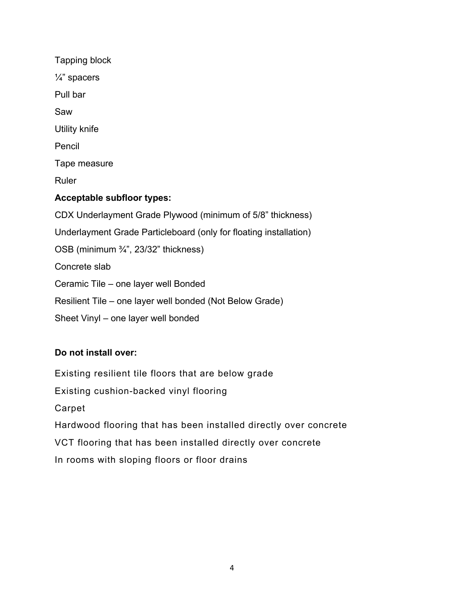Tapping block ¼" spacers Pull bar Saw Utility knife Pencil Tape measure Ruler **Acceptable subfloor types:** CDX Underlayment Grade Plywood (minimum of 5/8" thickness) Underlayment Grade Particleboard (only for floating installation) OSB (minimum ¾", 23/32" thickness) Concrete slab Ceramic Tile – one layer well Bonded Resilient Tile – one layer well bonded (Not Below Grade) Sheet Vinyl – one layer well bonded

### **Do not install over:**

Existing resilient tile floors that are below grade Existing cushion-backed vinyl flooring Carpet Hardwood flooring that has been installed directly over concrete VCT flooring that has been installed directly over concrete In rooms with sloping floors or floor drains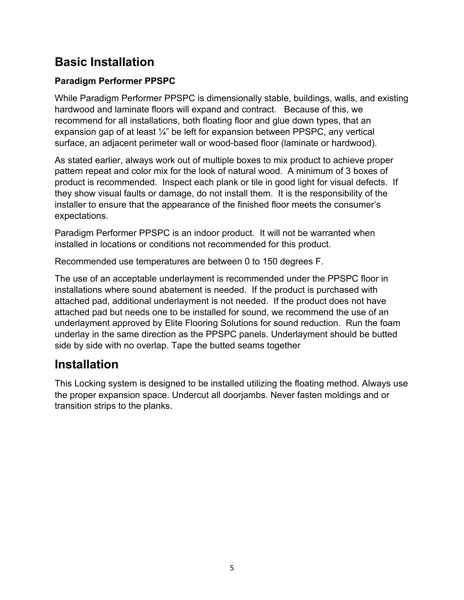# **Basic Installation**

### **Paradigm Performer PPSPC**

While Paradigm Performer PPSPC is dimensionally stable, buildings, walls, and existing hardwood and laminate floors will expand and contract. Because of this, we recommend for all installations, both floating floor and glue down types, that an expansion gap of at least ¼" be left for expansion between PPSPC, any vertical surface, an adjacent perimeter wall or wood-based floor (laminate or hardwood).

As stated earlier, always work out of multiple boxes to mix product to achieve proper pattern repeat and color mix for the look of natural wood. A minimum of 3 boxes of product is recommended. Inspect each plank or tile in good light for visual defects. If they show visual faults or damage, do not install them. It is the responsibility of the installer to ensure that the appearance of the finished floor meets the consumer's expectations.

Paradigm Performer PPSPC is an indoor product. It will not be warranted when installed in locations or conditions not recommended for this product.

Recommended use temperatures are between 0 to 150 degrees F.

The use of an acceptable underlayment is recommended under the PPSPC floor in installations where sound abatement is needed. If the product is purchased with attached pad, additional underlayment is not needed. If the product does not have attached pad but needs one to be installed for sound, we recommend the use of an underlayment approved by Elite Flooring Solutions for sound reduction. Run the foam underlay in the same direction as the PPSPC panels. Underlayment should be butted side by side with no overlap. Tape the butted seams together

# **Installation**

This Locking system is designed to be installed utilizing the floating method. Always use the proper expansion space. Undercut all doorjambs. Never fasten moldings and or transition strips to the planks.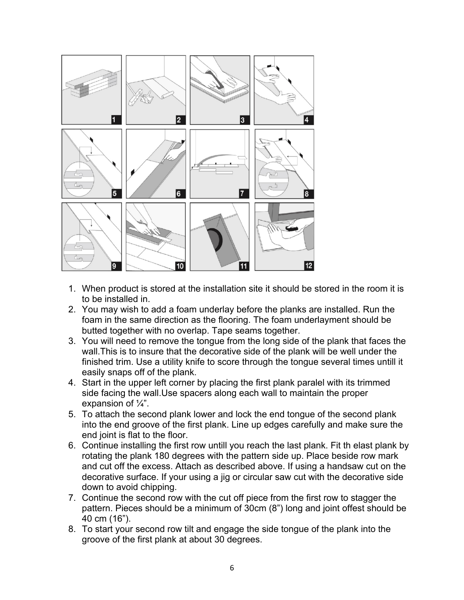

- 1. When product is stored at the installation site it should be stored in the room it is to be installed in.
- 2. You may wish to add a foam underlay before the planks are installed. Run the foam in the same direction as the flooring. The foam underlayment should be butted together with no overlap. Tape seams together.
- 3. You will need to remove the tongue from the long side of the plank that faces the wall.This is to insure that the decorative side of the plank will be well under the finished trim. Use a utility knife to score through the tongue several times untill it easily snaps off of the plank.
- 4. Start in the upper left corner by placing the first plank paralel with its trimmed side facing the wall.Use spacers along each wall to maintain the proper expansion of  $\frac{1}{4}$ ".
- 5. To attach the second plank lower and lock the end tongue of the second plank into the end groove of the first plank. Line up edges carefully and make sure the end joint is flat to the floor.
- 6. Continue installing the first row untill you reach the last plank. Fit th elast plank by rotating the plank 180 degrees with the pattern side up. Place beside row mark and cut off the excess. Attach as described above. If using a handsaw cut on the decorative surface. If your using a jig or circular saw cut with the decorative side down to avoid chipping.
- 7. Continue the second row with the cut off piece from the first row to stagger the pattern. Pieces should be a minimum of 30cm (8") long and joint offest should be 40 cm (16").
- 8. To start your second row tilt and engage the side tongue of the plank into the groove of the first plank at about 30 degrees.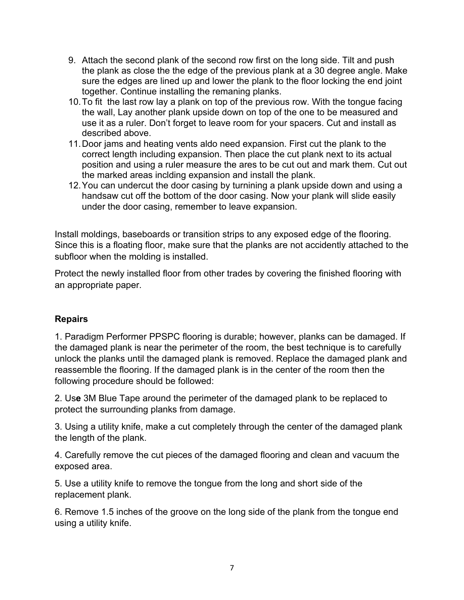- 9. Attach the second plank of the second row first on the long side. Tilt and push the plank as close the the edge of the previous plank at a 30 degree angle. Make sure the edges are lined up and lower the plank to the floor locking the end joint together. Continue installing the remaning planks.
- 10.To fit the last row lay a plank on top of the previous row. With the tongue facing the wall, Lay another plank upside down on top of the one to be measured and use it as a ruler. Don't forget to leave room for your spacers. Cut and install as described above.
- 11.Door jams and heating vents aldo need expansion. First cut the plank to the correct length including expansion. Then place the cut plank next to its actual position and using a ruler measure the ares to be cut out and mark them. Cut out the marked areas inclding expansion and install the plank.
- 12.You can undercut the door casing by turnining a plank upside down and using a handsaw cut off the bottom of the door casing. Now your plank will slide easily under the door casing, remember to leave expansion.

Install moldings, baseboards or transition strips to any exposed edge of the flooring. Since this is a floating floor, make sure that the planks are not accidently attached to the subfloor when the molding is installed.

Protect the newly installed floor from other trades by covering the finished flooring with an appropriate paper.

### **Repairs**

1. Paradigm Performer PPSPC flooring is durable; however, planks can be damaged. If the damaged plank is near the perimeter of the room, the best technique is to carefully unlock the planks until the damaged plank is removed. Replace the damaged plank and reassemble the flooring. If the damaged plank is in the center of the room then the following procedure should be followed:

2. Us**e** 3M Blue Tape around the perimeter of the damaged plank to be replaced to protect the surrounding planks from damage.

3. Using a utility knife, make a cut completely through the center of the damaged plank the length of the plank.

4. Carefully remove the cut pieces of the damaged flooring and clean and vacuum the exposed area.

5. Use a utility knife to remove the tongue from the long and short side of the replacement plank.

6. Remove 1.5 inches of the groove on the long side of the plank from the tongue end using a utility knife.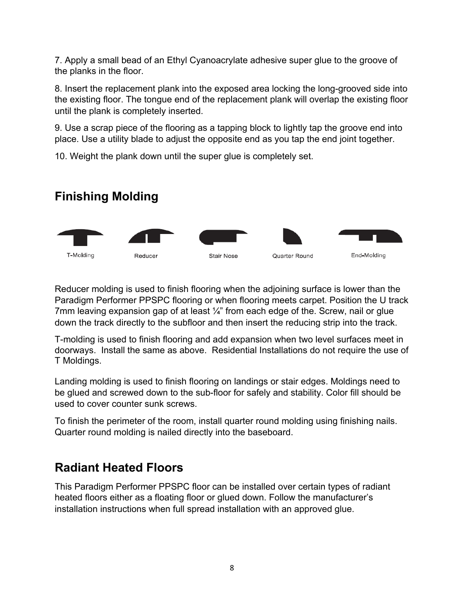7. Apply a small bead of an Ethyl Cyanoacrylate adhesive super glue to the groove of the planks in the floor.

8. Insert the replacement plank into the exposed area locking the long-grooved side into the existing floor. The tongue end of the replacement plank will overlap the existing floor until the plank is completely inserted.

9. Use a scrap piece of the flooring as a tapping block to lightly tap the groove end into place. Use a utility blade to adjust the opposite end as you tap the end joint together.

10. Weight the plank down until the super glue is completely set.

# **Finishing Molding**



Reducer molding is used to finish flooring when the adjoining surface is lower than the Paradigm Performer PPSPC flooring or when flooring meets carpet. Position the U track 7mm leaving expansion gap of at least  $\frac{1}{4}$ " from each edge of the. Screw, nail or glue down the track directly to the subfloor and then insert the reducing strip into the track.

T-molding is used to finish flooring and add expansion when two level surfaces meet in doorways. Install the same as above. Residential Installations do not require the use of T Moldings.

Landing molding is used to finish flooring on landings or stair edges. Moldings need to be glued and screwed down to the sub-floor for safely and stability. Color fill should be used to cover counter sunk screws.

To finish the perimeter of the room, install quarter round molding using finishing nails. Quarter round molding is nailed directly into the baseboard.

# **Radiant Heated Floors**

This Paradigm Performer PPSPC floor can be installed over certain types of radiant heated floors either as a floating floor or glued down. Follow the manufacturer's installation instructions when full spread installation with an approved glue.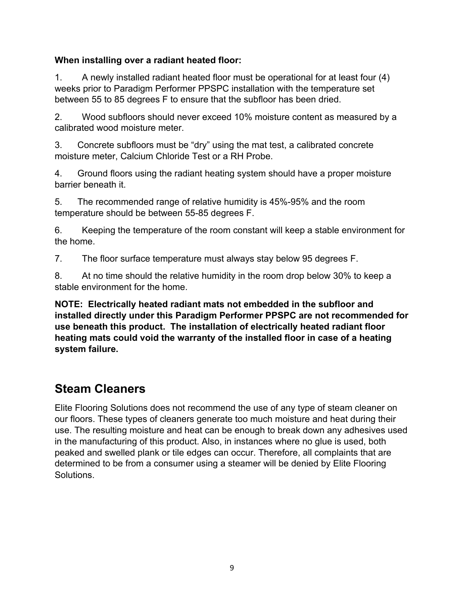### **When installing over a radiant heated floor:**

1. A newly installed radiant heated floor must be operational for at least four (4) weeks prior to Paradigm Performer PPSPC installation with the temperature set between 55 to 85 degrees F to ensure that the subfloor has been dried.

2. Wood subfloors should never exceed 10% moisture content as measured by a calibrated wood moisture meter.

3. Concrete subfloors must be "dry" using the mat test, a calibrated concrete moisture meter, Calcium Chloride Test or a RH Probe.

4. Ground floors using the radiant heating system should have a proper moisture barrier beneath it.

5. The recommended range of relative humidity is 45%-95% and the room temperature should be between 55-85 degrees F.

6. Keeping the temperature of the room constant will keep a stable environment for the home.

7. The floor surface temperature must always stay below 95 degrees F.

8. At no time should the relative humidity in the room drop below 30% to keep a stable environment for the home.

**NOTE: Electrically heated radiant mats not embedded in the subfloor and installed directly under this Paradigm Performer PPSPC are not recommended for use beneath this product. The installation of electrically heated radiant floor heating mats could void the warranty of the installed floor in case of a heating system failure.** 

# **Steam Cleaners**

Elite Flooring Solutions does not recommend the use of any type of steam cleaner on our floors. These types of cleaners generate too much moisture and heat during their use. The resulting moisture and heat can be enough to break down any adhesives used in the manufacturing of this product. Also, in instances where no glue is used, both peaked and swelled plank or tile edges can occur. Therefore, all complaints that are determined to be from a consumer using a steamer will be denied by Elite Flooring Solutions.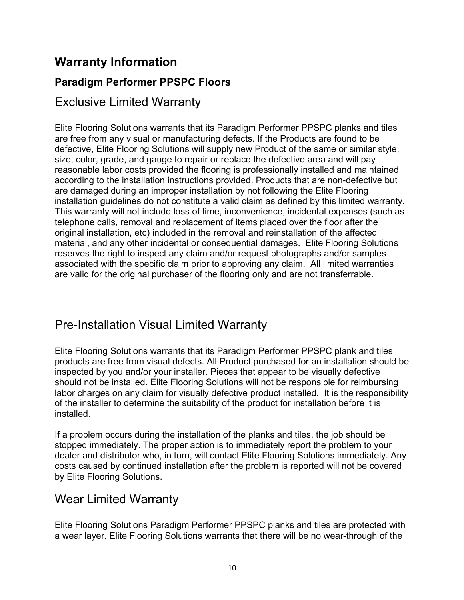# **Warranty Information**

### **Paradigm Performer PPSPC Floors**

### Exclusive Limited Warranty

Elite Flooring Solutions warrants that its Paradigm Performer PPSPC planks and tiles are free from any visual or manufacturing defects. If the Products are found to be defective, Elite Flooring Solutions will supply new Product of the same or similar style, size, color, grade, and gauge to repair or replace the defective area and will pay reasonable labor costs provided the flooring is professionally installed and maintained according to the installation instructions provided. Products that are non-defective but are damaged during an improper installation by not following the Elite Flooring installation guidelines do not constitute a valid claim as defined by this limited warranty. This warranty will not include loss of time, inconvenience, incidental expenses (such as telephone calls, removal and replacement of items placed over the floor after the original installation, etc) included in the removal and reinstallation of the affected material, and any other incidental or consequential damages. Elite Flooring Solutions reserves the right to inspect any claim and/or request photographs and/or samples associated with the specific claim prior to approving any claim. All limited warranties are valid for the original purchaser of the flooring only and are not transferrable.

# Pre-Installation Visual Limited Warranty

Elite Flooring Solutions warrants that its Paradigm Performer PPSPC plank and tiles products are free from visual defects. All Product purchased for an installation should be inspected by you and/or your installer. Pieces that appear to be visually defective should not be installed. Elite Flooring Solutions will not be responsible for reimbursing labor charges on any claim for visually defective product installed. It is the responsibility of the installer to determine the suitability of the product for installation before it is installed.

If a problem occurs during the installation of the planks and tiles, the job should be stopped immediately. The proper action is to immediately report the problem to your dealer and distributor who, in turn, will contact Elite Flooring Solutions immediately. Any costs caused by continued installation after the problem is reported will not be covered by Elite Flooring Solutions.

# Wear Limited Warranty

Elite Flooring Solutions Paradigm Performer PPSPC planks and tiles are protected with a wear layer. Elite Flooring Solutions warrants that there will be no wear-through of the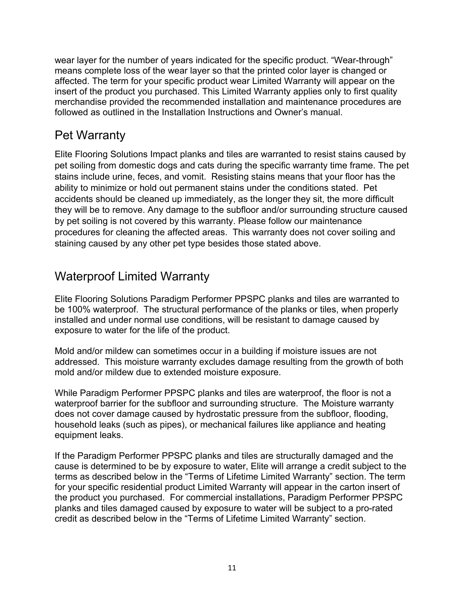wear layer for the number of years indicated for the specific product. "Wear-through" means complete loss of the wear layer so that the printed color layer is changed or affected. The term for your specific product wear Limited Warranty will appear on the insert of the product you purchased. This Limited Warranty applies only to first quality merchandise provided the recommended installation and maintenance procedures are followed as outlined in the Installation Instructions and Owner's manual.

### Pet Warranty

Elite Flooring Solutions Impact planks and tiles are warranted to resist stains caused by pet soiling from domestic dogs and cats during the specific warranty time frame. The pet stains include urine, feces, and vomit. Resisting stains means that your floor has the ability to minimize or hold out permanent stains under the conditions stated. Pet accidents should be cleaned up immediately, as the longer they sit, the more difficult they will be to remove. Any damage to the subfloor and/or surrounding structure caused by pet soiling is not covered by this warranty. Please follow our maintenance procedures for cleaning the affected areas. This warranty does not cover soiling and staining caused by any other pet type besides those stated above.

### Waterproof Limited Warranty

Elite Flooring Solutions Paradigm Performer PPSPC planks and tiles are warranted to be 100% waterproof. The structural performance of the planks or tiles, when properly installed and under normal use conditions, will be resistant to damage caused by exposure to water for the life of the product.

Mold and/or mildew can sometimes occur in a building if moisture issues are not addressed. This moisture warranty excludes damage resulting from the growth of both mold and/or mildew due to extended moisture exposure.

While Paradigm Performer PPSPC planks and tiles are waterproof, the floor is not a waterproof barrier for the subfloor and surrounding structure. The Moisture warranty does not cover damage caused by hydrostatic pressure from the subfloor, flooding, household leaks (such as pipes), or mechanical failures like appliance and heating equipment leaks.

If the Paradigm Performer PPSPC planks and tiles are structurally damaged and the cause is determined to be by exposure to water, Elite will arrange a credit subject to the terms as described below in the "Terms of Lifetime Limited Warranty" section. The term for your specific residential product Limited Warranty will appear in the carton insert of the product you purchased. For commercial installations, Paradigm Performer PPSPC planks and tiles damaged caused by exposure to water will be subject to a pro-rated credit as described below in the "Terms of Lifetime Limited Warranty" section.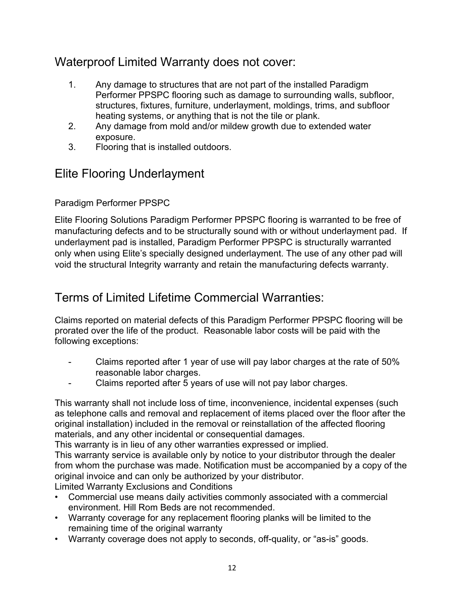# Waterproof Limited Warranty does not cover:

- 1. Any damage to structures that are not part of the installed Paradigm Performer PPSPC flooring such as damage to surrounding walls, subfloor, structures, fixtures, furniture, underlayment, moldings, trims, and subfloor heating systems, or anything that is not the tile or plank.
- 2. Any damage from mold and/or mildew growth due to extended water exposure.
- 3. Flooring that is installed outdoors.

# Elite Flooring Underlayment

### Paradigm Performer PPSPC

Elite Flooring Solutions Paradigm Performer PPSPC flooring is warranted to be free of manufacturing defects and to be structurally sound with or without underlayment pad. If underlayment pad is installed, Paradigm Performer PPSPC is structurally warranted only when using Elite's specially designed underlayment. The use of any other pad will void the structural Integrity warranty and retain the manufacturing defects warranty.

# Terms of Limited Lifetime Commercial Warranties:

Claims reported on material defects of this Paradigm Performer PPSPC flooring will be prorated over the life of the product. Reasonable labor costs will be paid with the following exceptions:

- Claims reported after 1 year of use will pay labor charges at the rate of 50% reasonable labor charges.
- Claims reported after 5 years of use will not pay labor charges.

This warranty shall not include loss of time, inconvenience, incidental expenses (such as telephone calls and removal and replacement of items placed over the floor after the original installation) included in the removal or reinstallation of the affected flooring materials, and any other incidental or consequential damages.

This warranty is in lieu of any other warranties expressed or implied.

This warranty service is available only by notice to your distributor through the dealer from whom the purchase was made. Notification must be accompanied by a copy of the original invoice and can only be authorized by your distributor.

Limited Warranty Exclusions and Conditions

- Commercial use means daily activities commonly associated with a commercial environment. Hill Rom Beds are not recommended.
- Warranty coverage for any replacement flooring planks will be limited to the remaining time of the original warranty
- Warranty coverage does not apply to seconds, off-quality, or "as-is" goods.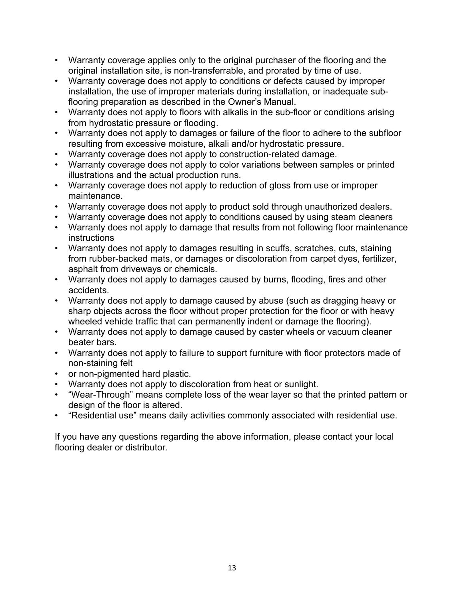- Warranty coverage applies only to the original purchaser of the flooring and the original installation site, is non-transferrable, and prorated by time of use.
- Warranty coverage does not apply to conditions or defects caused by improper installation, the use of improper materials during installation, or inadequate subflooring preparation as described in the Owner's Manual.
- Warranty does not apply to floors with alkalis in the sub-floor or conditions arising from hydrostatic pressure or flooding.
- Warranty does not apply to damages or failure of the floor to adhere to the subfloor resulting from excessive moisture, alkali and/or hydrostatic pressure.
- Warranty coverage does not apply to construction-related damage.
- Warranty coverage does not apply to color variations between samples or printed illustrations and the actual production runs.
- Warranty coverage does not apply to reduction of gloss from use or improper maintenance.
- Warranty coverage does not apply to product sold through unauthorized dealers.
- Warranty coverage does not apply to conditions caused by using steam cleaners
- Warranty does not apply to damage that results from not following floor maintenance instructions
- Warranty does not apply to damages resulting in scuffs, scratches, cuts, staining from rubber-backed mats, or damages or discoloration from carpet dyes, fertilizer, asphalt from driveways or chemicals.
- Warranty does not apply to damages caused by burns, flooding, fires and other accidents.
- Warranty does not apply to damage caused by abuse (such as dragging heavy or sharp objects across the floor without proper protection for the floor or with heavy wheeled vehicle traffic that can permanently indent or damage the flooring).
- Warranty does not apply to damage caused by caster wheels or vacuum cleaner beater bars.
- Warranty does not apply to failure to support furniture with floor protectors made of non-staining felt
- or non-pigmented hard plastic.
- Warranty does not apply to discoloration from heat or sunlight.
- "Wear-Through" means complete loss of the wear layer so that the printed pattern or design of the floor is altered.
- "Residential use" means daily activities commonly associated with residential use.

If you have any questions regarding the above information, please contact your local flooring dealer or distributor.